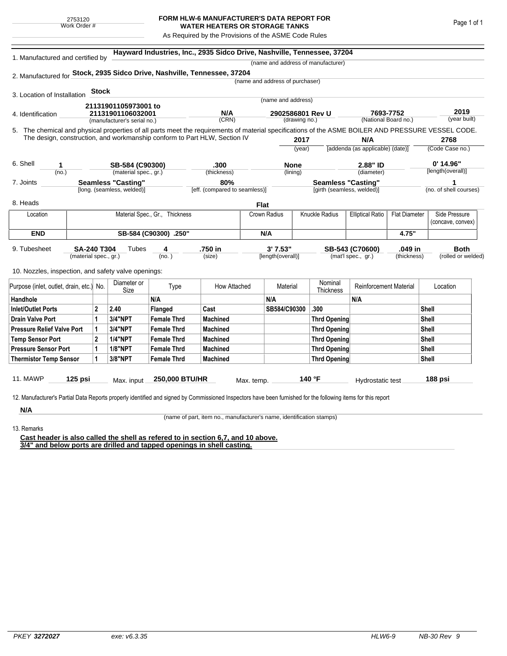## **FORM HLW-6 MANUFACTURER'S DATA REPORT FOR WATER HEATERS OR STORAGE TANKS**

As Required by the Provisions of the ASME Code Rules

| 1. Manufactured and certified by                                          |                                     |              | Hayward Industries, Inc., 2935 Sidco Drive, Nashville, Tennessee, 37204<br>(name and address of manufacturer) |                                |                               |                                 |                            |                           |                                  |                      |                                                                                                                                                    |  |  |
|---------------------------------------------------------------------------|-------------------------------------|--------------|---------------------------------------------------------------------------------------------------------------|--------------------------------|-------------------------------|---------------------------------|----------------------------|---------------------------|----------------------------------|----------------------|----------------------------------------------------------------------------------------------------------------------------------------------------|--|--|
| 2. Manufactured for Stock, 2935 Sidco Drive, Nashville, Tennessee, 37204  |                                     |              |                                                                                                               |                                |                               |                                 |                            |                           |                                  |                      |                                                                                                                                                    |  |  |
|                                                                           |                                     |              |                                                                                                               |                                |                               | (name and address of purchaser) |                            |                           |                                  |                      |                                                                                                                                                    |  |  |
| 3. Location of Installation                                               |                                     | <b>Stock</b> |                                                                                                               |                                |                               |                                 |                            |                           |                                  |                      |                                                                                                                                                    |  |  |
|                                                                           |                                     |              |                                                                                                               |                                |                               |                                 | (name and address)         |                           |                                  |                      |                                                                                                                                                    |  |  |
|                                                                           |                                     |              | 21131901105973001 to<br>21131901106032001                                                                     |                                | N/A                           |                                 | 2902586801 Rev U           |                           | 7693-7752                        |                      | 2019                                                                                                                                               |  |  |
| 4. Identification                                                         |                                     |              | (manufacturer's serial no.)                                                                                   |                                | (CRN)                         |                                 | (drawing no.)              |                           | (National Board no.)             |                      | (year built)                                                                                                                                       |  |  |
|                                                                           |                                     |              |                                                                                                               |                                |                               |                                 |                            |                           |                                  |                      | 5. The chemical and physical properties of all parts meet the requirements of material specifications of the ASME BOILER AND PRESSURE VESSEL CODE. |  |  |
| The design, construction, and workmanship conform to Part HLW, Section IV |                                     |              |                                                                                                               |                                |                               |                                 | 2017                       |                           | N/A                              |                      | 2768                                                                                                                                               |  |  |
|                                                                           |                                     |              |                                                                                                               |                                |                               |                                 | (year)                     |                           | [addenda (as applicable) (date)] |                      | (Code Case no.)                                                                                                                                    |  |  |
| 6. Shell                                                                  |                                     |              |                                                                                                               |                                |                               |                                 |                            |                           |                                  |                      | $0'$ 14.96"                                                                                                                                        |  |  |
| 1<br>(no.)                                                                |                                     |              | SB-584 (C90300)<br>(material spec., gr.)                                                                      |                                | .300<br>(thickness)           |                                 | <b>None</b><br>(lining)    |                           | 2.88" ID<br>(diameter)           |                      | [length(overall)]                                                                                                                                  |  |  |
| 7. Joints                                                                 |                                     |              | <b>Seamless "Casting"</b>                                                                                     |                                | 80%                           |                                 |                            | <b>Seamless "Casting"</b> |                                  |                      |                                                                                                                                                    |  |  |
|                                                                           |                                     |              | [long. (seamless, welded)]                                                                                    |                                | [eff. (compared to seamless)] |                                 | [girth (seamless, welded)] |                           |                                  |                      | (no. of shell courses)                                                                                                                             |  |  |
|                                                                           |                                     |              |                                                                                                               |                                |                               |                                 |                            |                           |                                  |                      |                                                                                                                                                    |  |  |
| 8. Heads                                                                  |                                     |              |                                                                                                               |                                |                               | <b>Flat</b>                     |                            |                           |                                  |                      |                                                                                                                                                    |  |  |
| Location                                                                  |                                     |              |                                                                                                               | Material Spec., Gr., Thickness |                               | Crown Radius                    |                            | Knuckle Radius            | <b>Elliptical Ratio</b>          | <b>Flat Diameter</b> | Side Pressure                                                                                                                                      |  |  |
|                                                                           |                                     |              |                                                                                                               |                                |                               |                                 |                            |                           |                                  |                      | (concave, convex)                                                                                                                                  |  |  |
|                                                                           | <b>END</b><br>SB-584 (C90300) .250" |              |                                                                                                               |                                | N/A                           |                                 |                            |                           |                                  | 4.75"                |                                                                                                                                                    |  |  |
| 9. Tubesheet                                                              | <b>SA-240 T304</b>                  |              | Tubes                                                                                                         | 4                              | .750 in                       |                                 | 3'7.53"                    |                           | SB-543 (C70600)                  | .049 in              | <b>Both</b>                                                                                                                                        |  |  |
|                                                                           | (material spec., gr.)               |              |                                                                                                               | (no. )                         | (size)                        |                                 | [length(overall)]          |                           | (mat'l spec., gr.)               | (thickness)          | (rolled or welded)                                                                                                                                 |  |  |
| 10. Nozzles, inspection, and safety valve openings:                       |                                     |              |                                                                                                               |                                |                               |                                 |                            |                           |                                  |                      |                                                                                                                                                    |  |  |
|                                                                           |                                     |              |                                                                                                               |                                |                               |                                 |                            |                           |                                  |                      |                                                                                                                                                    |  |  |
| Purpose (inlet, outlet, drain, etc.) No.                                  |                                     |              | Diameter or<br>Size                                                                                           | Type                           | How Attached                  |                                 | Material                   | Nominal<br>Thickness      | Reinforcement Material           |                      | Location                                                                                                                                           |  |  |
| Handhole                                                                  |                                     |              |                                                                                                               | N/A                            |                               | N/A                             |                            |                           | N/A                              |                      |                                                                                                                                                    |  |  |
| <b>Inlet/Outlet Ports</b>                                                 |                                     | $\mathbf 2$  | 2.40                                                                                                          | <b>Flanged</b>                 | Cast                          |                                 | SB584/C90300               | .300                      |                                  |                      | Shell                                                                                                                                              |  |  |
| <b>Drain Valve Port</b>                                                   |                                     | 1            | <b>3/4"NPT</b>                                                                                                | <b>Female Thrd</b>             | <b>Machined</b>               |                                 |                            | <b>Thrd Opening</b>       |                                  |                      | Shell                                                                                                                                              |  |  |
| <b>Pressure Relief Valve Port</b>                                         |                                     | 1            | 3/4"NPT                                                                                                       | <b>Female Thrd</b>             | <b>Machined</b>               |                                 |                            | Thrd Opening              |                                  |                      | <b>Shell</b>                                                                                                                                       |  |  |
| <b>Temp Sensor Port</b>                                                   |                                     | $\mathbf{2}$ | <b>1/4"NPT</b>                                                                                                | <b>Female Thrd</b>             | <b>Machined</b>               |                                 |                            | Thrd Opening              |                                  |                      | <b>Shell</b>                                                                                                                                       |  |  |
| <b>Pressure Sensor Port</b>                                               |                                     | 1            | <b>1/8"NPT</b>                                                                                                | <b>Female Thrd</b>             | <b>Machined</b>               |                                 |                            | Thrd Opening              |                                  |                      | <b>Shell</b>                                                                                                                                       |  |  |
| <b>Thermistor Temp Sensor</b>                                             |                                     | 1            | 3/8"NPT                                                                                                       | <b>Female Thrd</b>             | <b>Machined</b>               |                                 |                            | <b>Thrd Opening</b>       |                                  |                      | Shell                                                                                                                                              |  |  |
|                                                                           |                                     |              |                                                                                                               |                                |                               |                                 |                            |                           |                                  |                      |                                                                                                                                                    |  |  |
|                                                                           |                                     |              |                                                                                                               |                                |                               |                                 |                            |                           |                                  |                      |                                                                                                                                                    |  |  |

**N/A** 13. Remarks

(name of part, item no., manufacturer's name, identification stamps)

**Cast header is also called the shell as refered to in section 6,7, and 10 above. 3/4" and below ports are drilled and tapped openings in shell casting.**